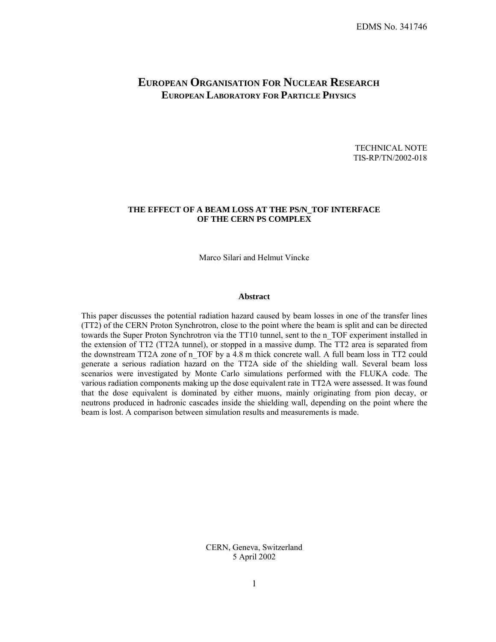# **EUROPEAN ORGANISATION FOR NUCLEAR RESEARCH EUROPEAN LABORATORY FOR PARTICLE PHYSICS**

TECHNICAL NOTE TIS-RP/TN/2002-018

# **THE EFFECT OF A BEAM LOSS AT THE PS/N\_TOF INTERFACE OF THE CERN PS COMPLEX**

Marco Silari and Helmut Vincke

## **Abstract**

This paper discusses the potential radiation hazard caused by beam losses in one of the transfer lines (TT2) of the CERN Proton Synchrotron, close to the point where the beam is split and can be directed towards the Super Proton Synchrotron via the TT10 tunnel, sent to the n\_TOF experiment installed in the extension of TT2 (TT2A tunnel), or stopped in a massive dump. The TT2 area is separated from the downstream TT2A zone of n\_TOF by a 4.8 m thick concrete wall. A full beam loss in TT2 could generate a serious radiation hazard on the TT2A side of the shielding wall. Several beam loss scenarios were investigated by Monte Carlo simulations performed with the FLUKA code. The various radiation components making up the dose equivalent rate in TT2A were assessed. It was found that the dose equivalent is dominated by either muons, mainly originating from pion decay, or neutrons produced in hadronic cascades inside the shielding wall, depending on the point where the beam is lost. A comparison between simulation results and measurements is made.

> CERN, Geneva, Switzerland 5 April 2002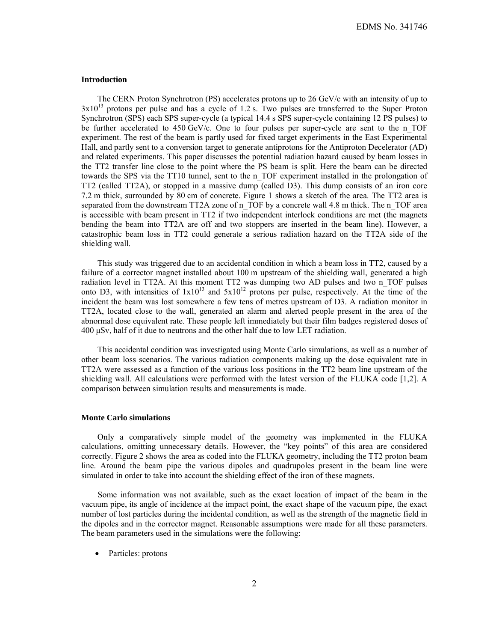# **Introduction**

The CERN Proton Synchrotron (PS) accelerates protons up to 26 GeV/c with an intensity of up to  $3x10^{13}$  protons per pulse and has a cycle of 1.2 s. Two pulses are transferred to the Super Proton Synchrotron (SPS) each SPS super-cycle (a typical 14.4 s SPS super-cycle containing 12 PS pulses) to be further accelerated to 450 GeV/c. One to four pulses per super-cycle are sent to the n TOF experiment. The rest of the beam is partly used for fixed target experiments in the East Experimental Hall, and partly sent to a conversion target to generate antiprotons for the Antiproton Decelerator (AD) and related experiments. This paper discusses the potential radiation hazard caused by beam losses in the TT2 transfer line close to the point where the PS beam is split. Here the beam can be directed towards the SPS via the TT10 tunnel, sent to the n\_TOF experiment installed in the prolongation of TT2 (called TT2A), or stopped in a massive dump (called D3). This dump consists of an iron core 7.2 m thick, surrounded by 80 cm of concrete. Figure 1 shows a sketch of the area. The TT2 area is separated from the downstream TT2A zone of n\_TOF by a concrete wall 4.8 m thick. The n\_TOF area is accessible with beam present in TT2 if two independent interlock conditions are met (the magnets bending the beam into TT2A are off and two stoppers are inserted in the beam line). However, a catastrophic beam loss in TT2 could generate a serious radiation hazard on the TT2A side of the shielding wall.

This study was triggered due to an accidental condition in which a beam loss in TT2, caused by a failure of a corrector magnet installed about 100 m upstream of the shielding wall, generated a high radiation level in TT2A. At this moment TT2 was dumping two AD pulses and two n\_TOF pulses onto D3, with intensities of  $1x10^{13}$  and  $5x10^{12}$  protons per pulse, respectively. At the time of the incident the beam was lost somewhere a few tens of metres upstream of D3. A radiation monitor in TT2A, located close to the wall, generated an alarm and alerted people present in the area of the abnormal dose equivalent rate. These people left immediately but their film badges registered doses of 400 μSv, half of it due to neutrons and the other half due to low LET radiation.

This accidental condition was investigated using Monte Carlo simulations, as well as a number of other beam loss scenarios. The various radiation components making up the dose equivalent rate in TT2A were assessed as a function of the various loss positions in the TT2 beam line upstream of the shielding wall. All calculations were performed with the latest version of the FLUKA code [1,2]. A comparison between simulation results and measurements is made.

#### **Monte Carlo simulations**

Only a comparatively simple model of the geometry was implemented in the FLUKA calculations, omitting unnecessary details. However, the "key points" of this area are considered correctly. Figure 2 shows the area as coded into the FLUKA geometry, including the TT2 proton beam line. Around the beam pipe the various dipoles and quadrupoles present in the beam line were simulated in order to take into account the shielding effect of the iron of these magnets.

Some information was not available, such as the exact location of impact of the beam in the vacuum pipe, its angle of incidence at the impact point, the exact shape of the vacuum pipe, the exact number of lost particles during the incidental condition, as well as the strength of the magnetic field in the dipoles and in the corrector magnet. Reasonable assumptions were made for all these parameters. The beam parameters used in the simulations were the following:

• Particles: protons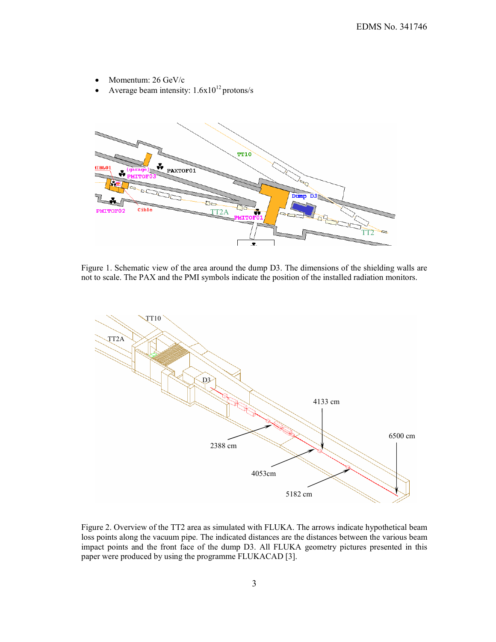- Momentum: 26 GeV/c
- Average beam intensity:  $1.6x10^{12}$  protons/s



Figure 1. Schematic view of the area around the dump D3. The dimensions of the shielding walls are not to scale. The PAX and the PMI symbols indicate the position of the installed radiation monitors.



Figure 2. Overview of the TT2 area as simulated with FLUKA. The arrows indicate hypothetical beam loss points along the vacuum pipe. The indicated distances are the distances between the various beam impact points and the front face of the dump D3. All FLUKA geometry pictures presented in this paper were produced by using the programme FLUKACAD [3].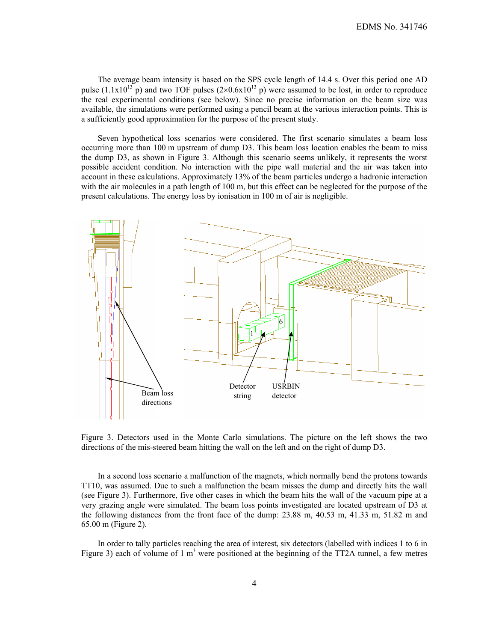The average beam intensity is based on the SPS cycle length of 14.4 s. Over this period one AD pulse  $(1.1x10^{13} \text{ p})$  and two TOF pulses  $(2\times0.6x10^{13} \text{ p})$  were assumed to be lost, in order to reproduce the real experimental conditions (see below). Since no precise information on the beam size was available, the simulations were performed using a pencil beam at the various interaction points. This is a sufficiently good approximation for the purpose of the present study.

Seven hypothetical loss scenarios were considered. The first scenario simulates a beam loss occurring more than 100 m upstream of dump D3. This beam loss location enables the beam to miss the dump D3, as shown in Figure 3. Although this scenario seems unlikely, it represents the worst possible accident condition. No interaction with the pipe wall material and the air was taken into account in these calculations. Approximately 13% of the beam particles undergo a hadronic interaction with the air molecules in a path length of 100 m, but this effect can be neglected for the purpose of the present calculations. The energy loss by ionisation in 100 m of air is negligible.



Figure 3. Detectors used in the Monte Carlo simulations. The picture on the left shows the two directions of the mis-steered beam hitting the wall on the left and on the right of dump D3.

In a second loss scenario a malfunction of the magnets, which normally bend the protons towards TT10, was assumed. Due to such a malfunction the beam misses the dump and directly hits the wall (see Figure 3). Furthermore, five other cases in which the beam hits the wall of the vacuum pipe at a very grazing angle were simulated. The beam loss points investigated are located upstream of D3 at the following distances from the front face of the dump: 23.88 m, 40.53 m, 41.33 m, 51.82 m and 65.00 m (Figure 2).

In order to tally particles reaching the area of interest, six detectors (labelled with indices 1 to 6 in Figure 3) each of volume of 1  $m<sup>3</sup>$  were positioned at the beginning of the TT2A tunnel, a few metres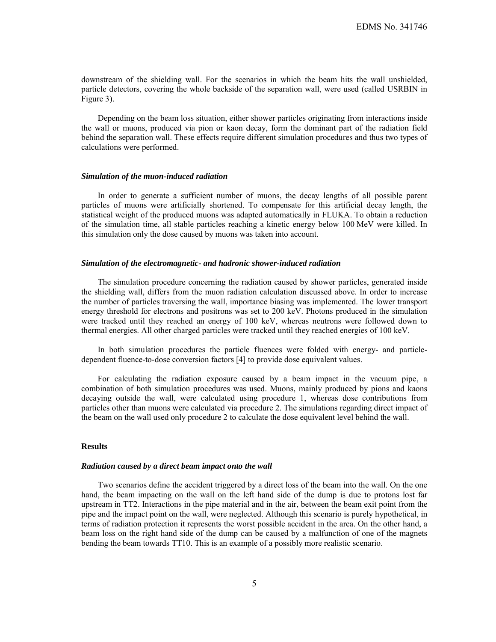downstream of the shielding wall. For the scenarios in which the beam hits the wall unshielded, particle detectors, covering the whole backside of the separation wall, were used (called USRBIN in Figure 3).

Depending on the beam loss situation, either shower particles originating from interactions inside the wall or muons, produced via pion or kaon decay, form the dominant part of the radiation field behind the separation wall. These effects require different simulation procedures and thus two types of calculations were performed.

#### *Simulation of the muon-induced radiation*

In order to generate a sufficient number of muons, the decay lengths of all possible parent particles of muons were artificially shortened. To compensate for this artificial decay length, the statistical weight of the produced muons was adapted automatically in FLUKA. To obtain a reduction of the simulation time, all stable particles reaching a kinetic energy below 100 MeV were killed. In this simulation only the dose caused by muons was taken into account.

## *Simulation of the electromagnetic- and hadronic shower-induced radiation*

The simulation procedure concerning the radiation caused by shower particles, generated inside the shielding wall, differs from the muon radiation calculation discussed above. In order to increase the number of particles traversing the wall, importance biasing was implemented. The lower transport energy threshold for electrons and positrons was set to 200 keV. Photons produced in the simulation were tracked until they reached an energy of 100 keV, whereas neutrons were followed down to thermal energies. All other charged particles were tracked until they reached energies of 100 keV.

In both simulation procedures the particle fluences were folded with energy- and particledependent fluence-to-dose conversion factors [4] to provide dose equivalent values.

For calculating the radiation exposure caused by a beam impact in the vacuum pipe, a combination of both simulation procedures was used. Muons, mainly produced by pions and kaons decaying outside the wall, were calculated using procedure 1, whereas dose contributions from particles other than muons were calculated via procedure 2. The simulations regarding direct impact of the beam on the wall used only procedure 2 to calculate the dose equivalent level behind the wall.

# **Results**

#### *Radiation caused by a direct beam impact onto the wall*

Two scenarios define the accident triggered by a direct loss of the beam into the wall. On the one hand, the beam impacting on the wall on the left hand side of the dump is due to protons lost far upstream in TT2. Interactions in the pipe material and in the air, between the beam exit point from the pipe and the impact point on the wall, were neglected. Although this scenario is purely hypothetical, in terms of radiation protection it represents the worst possible accident in the area. On the other hand, a beam loss on the right hand side of the dump can be caused by a malfunction of one of the magnets bending the beam towards TT10. This is an example of a possibly more realistic scenario.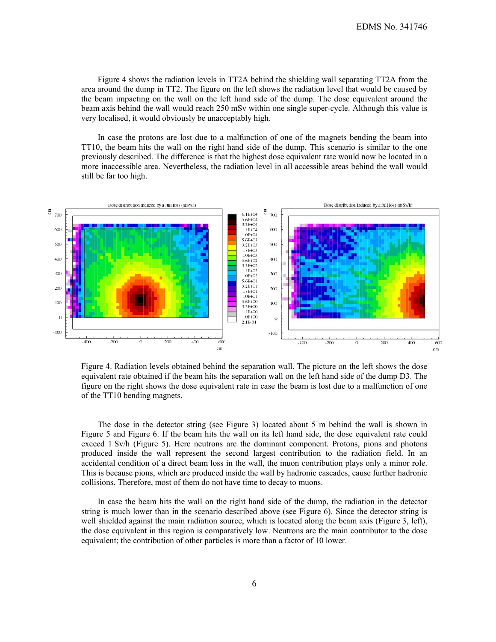Figure 4 shows the radiation levels in TT2A behind the shielding wall separating TT2A from the area around the dump in TT2. The figure on the left shows the radiation level that would be caused by the beam impacting on the wall on the left hand side of the dump. The dose equivalent around the beam axis behind the wall would reach 250 mSv within one single super-cycle. Although this value is very localised, it would obviously be unacceptably high.

In case the protons are lost due to a malfunction of one of the magnets bending the beam into TT10, the beam hits the wall on the right hand side of the dump. This scenario is similar to the one previously described. The difference is that the highest dose equivalent rate would now be located in a more inaccessible area. Nevertheless, the radiation level in all accessible areas behind the wall would still be far too high.



Figure 4. Radiation levels obtained behind the separation wall. The picture on the left shows the dose equivalent rate obtained if the beam hits the separation wall on the left hand side of the dump D3. The figure on the right shows the dose equivalent rate in case the beam is lost due to a malfunction of one of the TT10 bending magnets.

The dose in the detector string (see Figure 3) located about 5 m behind the wall is shown in Figure 5 and Figure 6. If the beam hits the wall on its left hand side, the dose equivalent rate could exceed 1 Sv/h (Figure 5). Here neutrons are the dominant component. Protons, pions and photons produced inside the wall represent the second largest contribution to the radiation field. In an accidental condition of a direct beam loss in the wall, the muon contribution plays only a minor role. This is because pions, which are produced inside the wall by hadronic cascades, cause further hadronic collisions. Therefore, most of them do not have time to decay to muons.

In case the beam hits the wall on the right hand side of the dump, the radiation in the detector string is much lower than in the scenario described above (see Figure 6). Since the detector string is well shielded against the main radiation source, which is located along the beam axis (Figure 3, left), the dose equivalent in this region is comparatively low. Neutrons are the main contributor to the dose equivalent; the contribution of other particles is more than a factor of 10 lower.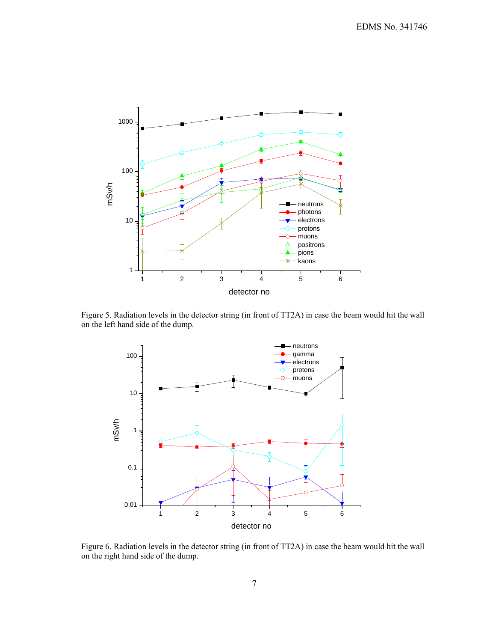

Figure 5. Radiation levels in the detector string (in front of TT2A) in case the beam would hit the wall on the left hand side of the dump.



Figure 6. Radiation levels in the detector string (in front of TT2A) in case the beam would hit the wall on the right hand side of the dump.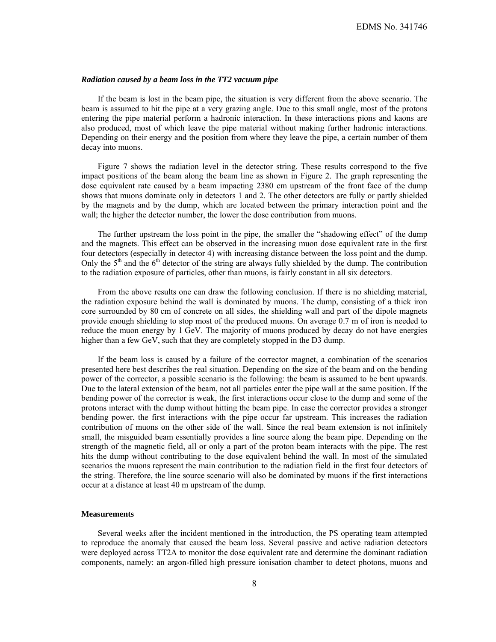# *Radiation caused by a beam loss in the TT2 vacuum pipe*

If the beam is lost in the beam pipe, the situation is very different from the above scenario. The beam is assumed to hit the pipe at a very grazing angle. Due to this small angle, most of the protons entering the pipe material perform a hadronic interaction. In these interactions pions and kaons are also produced, most of which leave the pipe material without making further hadronic interactions. Depending on their energy and the position from where they leave the pipe, a certain number of them decay into muons.

Figure 7 shows the radiation level in the detector string. These results correspond to the five impact positions of the beam along the beam line as shown in Figure 2. The graph representing the dose equivalent rate caused by a beam impacting 2380 cm upstream of the front face of the dump shows that muons dominate only in detectors 1 and 2. The other detectors are fully or partly shielded by the magnets and by the dump, which are located between the primary interaction point and the wall; the higher the detector number, the lower the dose contribution from muons.

The further upstream the loss point in the pipe, the smaller the "shadowing effect" of the dump and the magnets. This effect can be observed in the increasing muon dose equivalent rate in the first four detectors (especially in detector 4) with increasing distance between the loss point and the dump. Only the  $5<sup>th</sup>$  and the  $6<sup>th</sup>$  detector of the string are always fully shielded by the dump. The contribution to the radiation exposure of particles, other than muons, is fairly constant in all six detectors.

From the above results one can draw the following conclusion. If there is no shielding material, the radiation exposure behind the wall is dominated by muons. The dump, consisting of a thick iron core surrounded by 80 cm of concrete on all sides, the shielding wall and part of the dipole magnets provide enough shielding to stop most of the produced muons. On average 0.7 m of iron is needed to reduce the muon energy by 1 GeV. The majority of muons produced by decay do not have energies higher than a few GeV, such that they are completely stopped in the D3 dump.

If the beam loss is caused by a failure of the corrector magnet, a combination of the scenarios presented here best describes the real situation. Depending on the size of the beam and on the bending power of the corrector, a possible scenario is the following: the beam is assumed to be bent upwards. Due to the lateral extension of the beam, not all particles enter the pipe wall at the same position. If the bending power of the corrector is weak, the first interactions occur close to the dump and some of the protons interact with the dump without hitting the beam pipe. In case the corrector provides a stronger bending power, the first interactions with the pipe occur far upstream. This increases the radiation contribution of muons on the other side of the wall. Since the real beam extension is not infinitely small, the misguided beam essentially provides a line source along the beam pipe. Depending on the strength of the magnetic field, all or only a part of the proton beam interacts with the pipe. The rest hits the dump without contributing to the dose equivalent behind the wall. In most of the simulated scenarios the muons represent the main contribution to the radiation field in the first four detectors of the string. Therefore, the line source scenario will also be dominated by muons if the first interactions occur at a distance at least 40 m upstream of the dump.

# **Measurements**

Several weeks after the incident mentioned in the introduction, the PS operating team attempted to reproduce the anomaly that caused the beam loss. Several passive and active radiation detectors were deployed across TT2A to monitor the dose equivalent rate and determine the dominant radiation components, namely: an argon-filled high pressure ionisation chamber to detect photons, muons and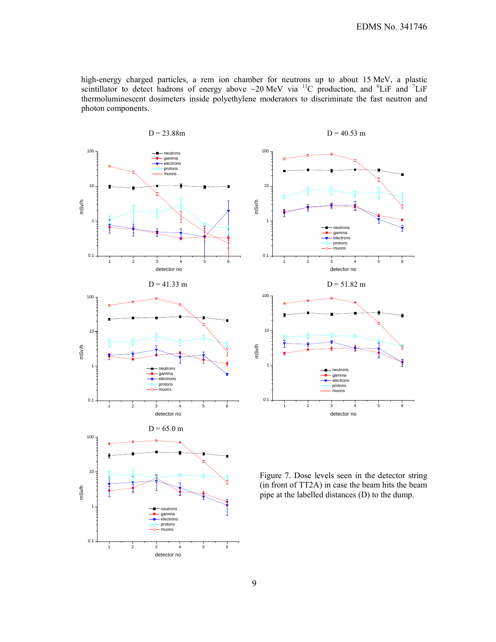high-energy charged particles, a rem ion chamber for neutrons up to about 15 MeV, a plastic scintillator to detect hadrons of energy above  $\sim$ 20 MeV via <sup>11</sup>C production, and <sup>6</sup>LiF and <sup>7</sup>LiF thermoluminescent dosimeters inside polyethylene moderators to discriminate the fast neutron and photon components.





Figure 7. Dose levels seen in the detector string (in front of TT2A) in case the beam hits the beam pipe at the labelled distances (D) to the dump.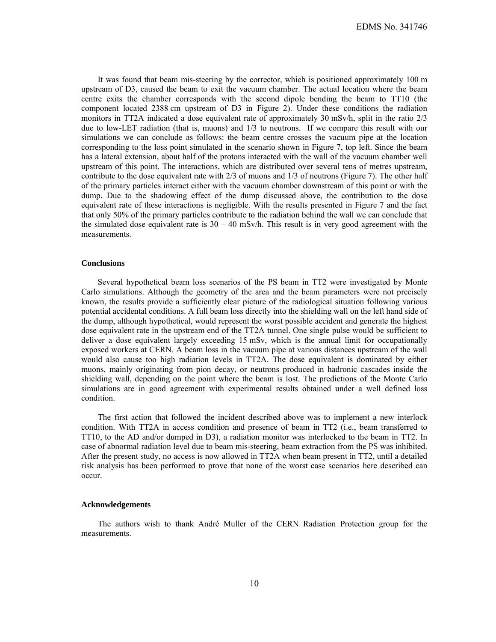It was found that beam mis-steering by the corrector, which is positioned approximately 100 m upstream of D3, caused the beam to exit the vacuum chamber. The actual location where the beam centre exits the chamber corresponds with the second dipole bending the beam to TT10 (the component located 2388 cm upstream of D3 in Figure 2). Under these conditions the radiation monitors in TT2A indicated a dose equivalent rate of approximately 30 mSv/h, split in the ratio 2/3 due to low-LET radiation (that is, muons) and 1/3 to neutrons. If we compare this result with our simulations we can conclude as follows: the beam centre crosses the vacuum pipe at the location corresponding to the loss point simulated in the scenario shown in Figure 7, top left. Since the beam has a lateral extension, about half of the protons interacted with the wall of the vacuum chamber well upstream of this point. The interactions, which are distributed over several tens of metres upstream, contribute to the dose equivalent rate with 2/3 of muons and 1/3 of neutrons (Figure 7). The other half of the primary particles interact either with the vacuum chamber downstream of this point or with the dump. Due to the shadowing effect of the dump discussed above, the contribution to the dose equivalent rate of these interactions is negligible. With the results presented in Figure 7 and the fact that only 50% of the primary particles contribute to the radiation behind the wall we can conclude that the simulated dose equivalent rate is  $30 - 40$  mSv/h. This result is in very good agreement with the measurements.

# **Conclusions**

Several hypothetical beam loss scenarios of the PS beam in TT2 were investigated by Monte Carlo simulations. Although the geometry of the area and the beam parameters were not precisely known, the results provide a sufficiently clear picture of the radiological situation following various potential accidental conditions. A full beam loss directly into the shielding wall on the left hand side of the dump, although hypothetical, would represent the worst possible accident and generate the highest dose equivalent rate in the upstream end of the TT2A tunnel. One single pulse would be sufficient to deliver a dose equivalent largely exceeding 15 mSv, which is the annual limit for occupationally exposed workers at CERN. A beam loss in the vacuum pipe at various distances upstream of the wall would also cause too high radiation levels in TT2A. The dose equivalent is dominated by either muons, mainly originating from pion decay, or neutrons produced in hadronic cascades inside the shielding wall, depending on the point where the beam is lost. The predictions of the Monte Carlo simulations are in good agreement with experimental results obtained under a well defined loss condition.

The first action that followed the incident described above was to implement a new interlock condition. With TT2A in access condition and presence of beam in TT2 (i.e., beam transferred to TT10, to the AD and/or dumped in D3), a radiation monitor was interlocked to the beam in TT2. In case of abnormal radiation level due to beam mis-steering, beam extraction from the PS was inhibited. After the present study, no access is now allowed in TT2A when beam present in TT2, until a detailed risk analysis has been performed to prove that none of the worst case scenarios here described can occur.

### **Acknowledgements**

The authors wish to thank André Muller of the CERN Radiation Protection group for the measurements.